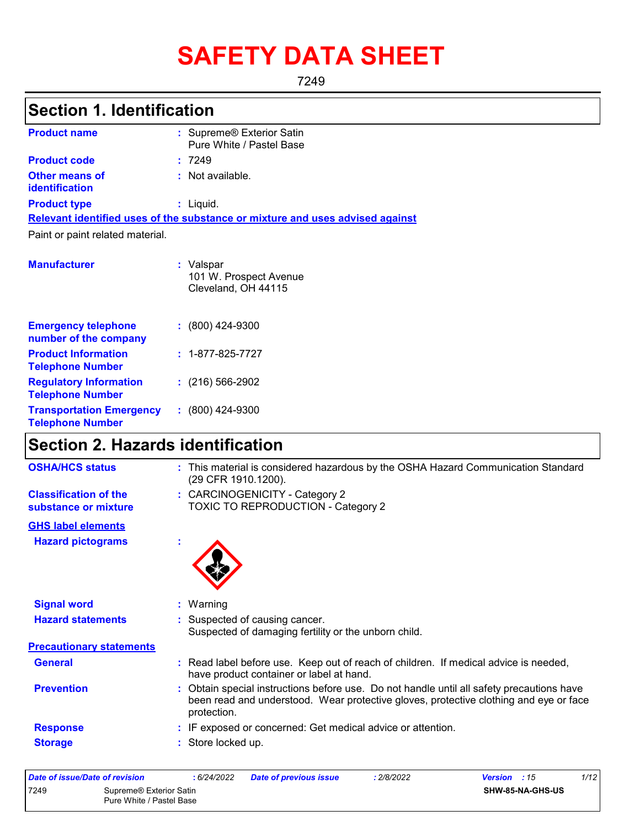# **SAFETY DATA SHEET**

7249

### **Section 1. Identification**

| <b>Product name</b>                            | : Supreme® Exterior Satin<br>Pure White / Pastel Base                         |
|------------------------------------------------|-------------------------------------------------------------------------------|
| <b>Product code</b>                            | :7249                                                                         |
| <b>Other means of</b><br><i>identification</i> | : Not available.                                                              |
| <b>Product type</b>                            | : Liguid.                                                                     |
|                                                | Relevant identified uses of the substance or mixture and uses advised against |
| Paint or paint related material.               |                                                                               |
| <b>Manufacturer</b>                            | : Valspar<br>101 W. Prospect Avenue                                           |

Cleveland, OH 44115

| <b>Emergency telephone</b><br>number of the company        | $: (800)$ 424-9300       |
|------------------------------------------------------------|--------------------------|
| <b>Product Information</b><br><b>Telephone Number</b>      | $: 1 - 877 - 825 - 7727$ |
| <b>Regulatory Information</b><br><b>Telephone Number</b>   | $: (216) 566 - 2902$     |
| <b>Transportation Emergency</b><br><b>Telephone Number</b> | $(800)$ 424-9300         |

### **Section 2. Hazards identification**

| <b>OSHA/HCS status</b>                               | : This material is considered hazardous by the OSHA Hazard Communication Standard<br>(29 CFR 1910.1200).                                                                                          |
|------------------------------------------------------|---------------------------------------------------------------------------------------------------------------------------------------------------------------------------------------------------|
| <b>Classification of the</b><br>substance or mixture | : CARCINOGENICITY - Category 2<br>TOXIC TO REPRODUCTION - Category 2                                                                                                                              |
| <b>GHS label elements</b>                            |                                                                                                                                                                                                   |
| <b>Hazard pictograms</b>                             | t                                                                                                                                                                                                 |
| <b>Signal word</b>                                   | : Warning                                                                                                                                                                                         |
| <b>Hazard statements</b>                             | : Suspected of causing cancer.<br>Suspected of damaging fertility or the unborn child.                                                                                                            |
| <b>Precautionary statements</b>                      |                                                                                                                                                                                                   |
| <b>General</b>                                       | : Read label before use. Keep out of reach of children. If medical advice is needed,<br>have product container or label at hand.                                                                  |
| <b>Prevention</b>                                    | : Obtain special instructions before use. Do not handle until all safety precautions have<br>been read and understood. Wear protective gloves, protective clothing and eye or face<br>protection. |
| <b>Response</b>                                      | : IF exposed or concerned: Get medical advice or attention.                                                                                                                                       |
| <b>Storage</b>                                       | : Store locked up.                                                                                                                                                                                |

| Date of issue/Date of revision  |                          | : 6/24/2022 | <b>Date of previous issue</b> | : 2/8/2022 | <b>Version</b> : 15 | 1/12 |
|---------------------------------|--------------------------|-------------|-------------------------------|------------|---------------------|------|
| 7249<br>Supreme® Exterior Satin |                          |             | <b>SHW-85-NA-GHS-US</b>       |            |                     |      |
|                                 | Pure White / Pastel Base |             |                               |            |                     |      |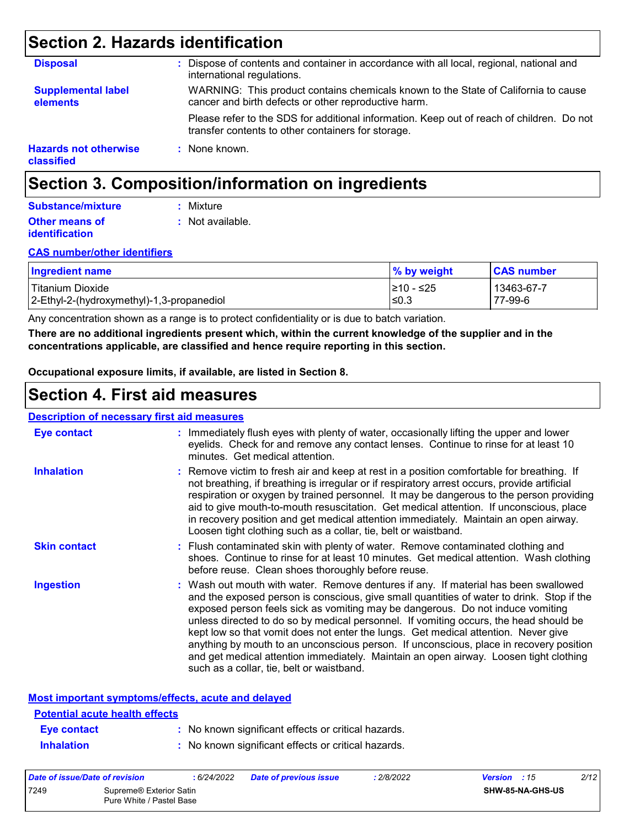### **Section 2. Hazards identification**

| <b>Disposal</b>                            | : Dispose of contents and container in accordance with all local, regional, national and<br>international regulations.                          |
|--------------------------------------------|-------------------------------------------------------------------------------------------------------------------------------------------------|
| <b>Supplemental label</b><br>elements      | WARNING: This product contains chemicals known to the State of California to cause<br>cancer and birth defects or other reproductive harm.      |
|                                            | Please refer to the SDS for additional information. Keep out of reach of children. Do not<br>transfer contents to other containers for storage. |
| <b>Hazards not otherwise</b><br>classified | : None known.                                                                                                                                   |

### **Section 3. Composition/information on ingredients**

#### **Other means of identification :** Not available. **Substance/mixture :** Mixture

#### **CAS number/other identifiers**

| <b>Ingredient name</b>                    | % by weight | <b>CAS number</b> |
|-------------------------------------------|-------------|-------------------|
| l Titanium Dioxide                        | l≥10 - ≤25  | 13463-67-7        |
| 2-Ethyl-2-(hydroxymethyl)-1,3-propanediol | ∣≤0.3       | 77-99-6           |

Any concentration shown as a range is to protect confidentiality or is due to batch variation.

**There are no additional ingredients present which, within the current knowledge of the supplier and in the concentrations applicable, are classified and hence require reporting in this section.**

**Occupational exposure limits, if available, are listed in Section 8.**

### **Section 4. First aid measures**

#### : Wash out mouth with water. Remove dentures if any. If material has been swallowed : Immediately flush eyes with plenty of water, occasionally lifting the upper and lower eyelids. Check for and remove any contact lenses. Continue to rinse for at least 10 minutes. Get medical attention. Flush contaminated skin with plenty of water. Remove contaminated clothing and **:** shoes. Continue to rinse for at least 10 minutes. Get medical attention. Wash clothing before reuse. Clean shoes thoroughly before reuse. Remove victim to fresh air and keep at rest in a position comfortable for breathing. If **:** not breathing, if breathing is irregular or if respiratory arrest occurs, provide artificial respiration or oxygen by trained personnel. It may be dangerous to the person providing aid to give mouth-to-mouth resuscitation. Get medical attention. If unconscious, place in recovery position and get medical attention immediately. Maintain an open airway. Loosen tight clothing such as a collar, tie, belt or waistband. **Eye contact Skin contact Inhalation Ingestion : Description of necessary first aid measures**

and the exposed person is conscious, give small quantities of water to drink. Stop if the exposed person feels sick as vomiting may be dangerous. Do not induce vomiting unless directed to do so by medical personnel. If vomiting occurs, the head should be kept low so that vomit does not enter the lungs. Get medical attention. Never give anything by mouth to an unconscious person. If unconscious, place in recovery position and get medical attention immediately. Maintain an open airway. Loosen tight clothing such as a collar, tie, belt or waistband.

|--|

| <b>Potential acute health effects</b> |                                                     |
|---------------------------------------|-----------------------------------------------------|
| Eye contact                           | : No known significant effects or critical hazards. |
| <b>Inhalation</b>                     | : No known significant effects or critical hazards. |

| Date of issue/Date of revision |                                                     | : 6/24/2022 | <b>Date of previous issue</b> | : 2/8/2022 | <b>Version</b> : 15 |                         | 2/12 |
|--------------------------------|-----------------------------------------------------|-------------|-------------------------------|------------|---------------------|-------------------------|------|
| 7249                           | Supreme® Exterior Satin<br>Pure White / Pastel Base |             |                               |            |                     | <b>SHW-85-NA-GHS-US</b> |      |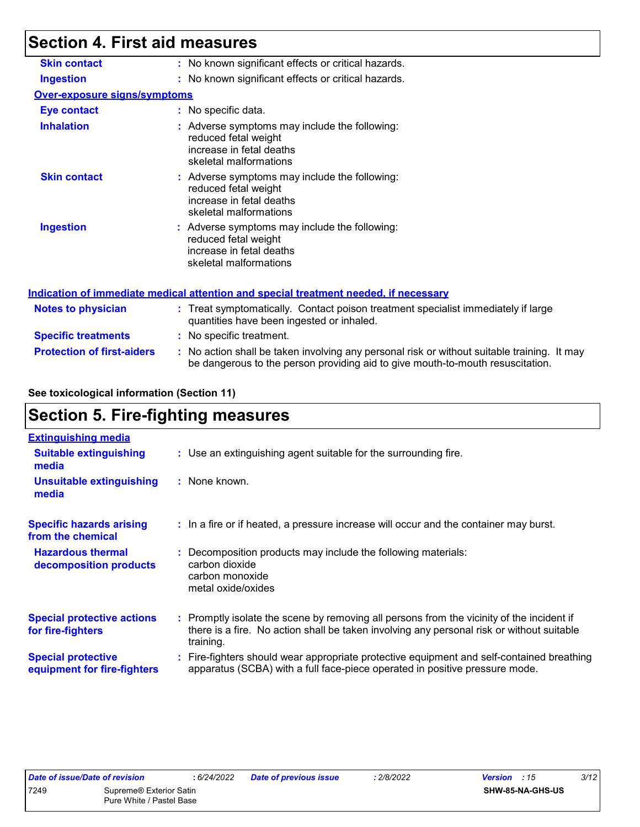### **Section 4. First aid measures**

| <b>Skin contact</b>                 | : No known significant effects or critical hazards.                                                                                                                           |
|-------------------------------------|-------------------------------------------------------------------------------------------------------------------------------------------------------------------------------|
| <b>Ingestion</b>                    | : No known significant effects or critical hazards.                                                                                                                           |
| <b>Over-exposure signs/symptoms</b> |                                                                                                                                                                               |
| Eye contact                         | : No specific data.                                                                                                                                                           |
| <b>Inhalation</b>                   | : Adverse symptoms may include the following:<br>reduced fetal weight<br>increase in fetal deaths<br>skeletal malformations                                                   |
| <b>Skin contact</b>                 | : Adverse symptoms may include the following:<br>reduced fetal weight<br>increase in fetal deaths<br>skeletal malformations                                                   |
| <b>Ingestion</b>                    | : Adverse symptoms may include the following:<br>reduced fetal weight<br>increase in fetal deaths<br>skeletal malformations                                                   |
|                                     | <u>Indication of immediate medical attention and special treatment needed, if necessary</u>                                                                                   |
| Notes to physician                  | : Treat symptomatically. Contact poison treatment specialist immediately if large<br>quantities have been ingested or inhaled.                                                |
| <b>Specific treatments</b>          | : No specific treatment.                                                                                                                                                      |
| <b>Protection of first-aiders</b>   | : No action shall be taken involving any personal risk or without suitable training. It may<br>be dangerous to the person providing aid to give mouth-to-mouth resuscitation. |

#### **See toxicological information (Section 11)**

### **Section 5. Fire-fighting measures**

| <b>Extinguishing media</b>                               |                                                                                                                                                                                                     |
|----------------------------------------------------------|-----------------------------------------------------------------------------------------------------------------------------------------------------------------------------------------------------|
| <b>Suitable extinguishing</b><br>media                   | : Use an extinguishing agent suitable for the surrounding fire.                                                                                                                                     |
| <b>Unsuitable extinguishing</b><br>media                 | : None known.                                                                                                                                                                                       |
| <b>Specific hazards arising</b><br>from the chemical     | : In a fire or if heated, a pressure increase will occur and the container may burst.                                                                                                               |
| <b>Hazardous thermal</b><br>decomposition products       | : Decomposition products may include the following materials:<br>carbon dioxide<br>carbon monoxide<br>metal oxide/oxides                                                                            |
| <b>Special protective actions</b><br>for fire-fighters   | : Promptly isolate the scene by removing all persons from the vicinity of the incident if<br>there is a fire. No action shall be taken involving any personal risk or without suitable<br>training. |
| <b>Special protective</b><br>equipment for fire-fighters | Fire-fighters should wear appropriate protective equipment and self-contained breathing<br>apparatus (SCBA) with a full face-piece operated in positive pressure mode.                              |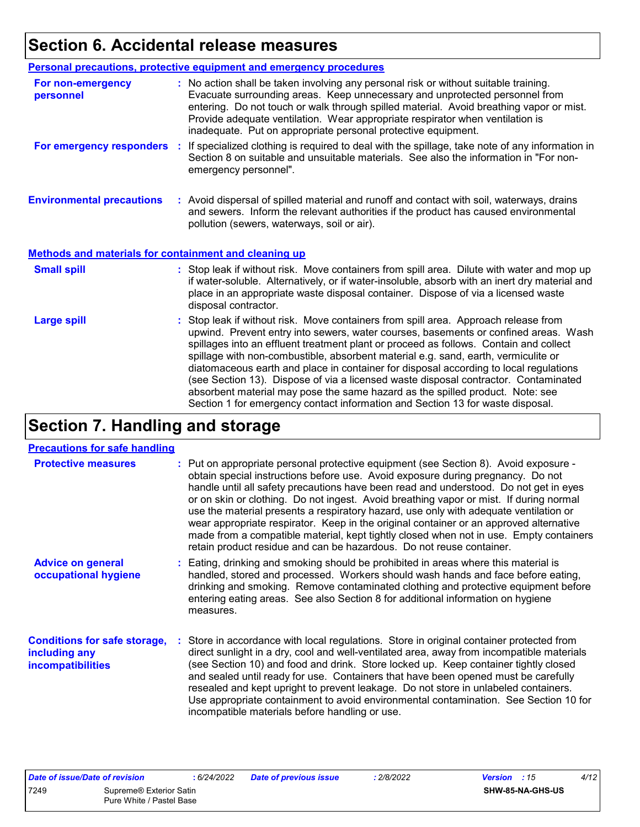# **Section 6. Accidental release measures**

|                                                              | Personal precautions, protective equipment and emergency procedures                                                                                                                                                                                                                                                                                                                                                                                                                                                                                                                                                                                                                                          |
|--------------------------------------------------------------|--------------------------------------------------------------------------------------------------------------------------------------------------------------------------------------------------------------------------------------------------------------------------------------------------------------------------------------------------------------------------------------------------------------------------------------------------------------------------------------------------------------------------------------------------------------------------------------------------------------------------------------------------------------------------------------------------------------|
| For non-emergency<br>personnel                               | : No action shall be taken involving any personal risk or without suitable training.<br>Evacuate surrounding areas. Keep unnecessary and unprotected personnel from<br>entering. Do not touch or walk through spilled material. Avoid breathing vapor or mist.<br>Provide adequate ventilation. Wear appropriate respirator when ventilation is<br>inadequate. Put on appropriate personal protective equipment.                                                                                                                                                                                                                                                                                             |
| For emergency responders                                     | If specialized clothing is required to deal with the spillage, take note of any information in<br>÷.<br>Section 8 on suitable and unsuitable materials. See also the information in "For non-<br>emergency personnel".                                                                                                                                                                                                                                                                                                                                                                                                                                                                                       |
| <b>Environmental precautions</b>                             | : Avoid dispersal of spilled material and runoff and contact with soil, waterways, drains<br>and sewers. Inform the relevant authorities if the product has caused environmental<br>pollution (sewers, waterways, soil or air).                                                                                                                                                                                                                                                                                                                                                                                                                                                                              |
| <b>Methods and materials for containment and cleaning up</b> |                                                                                                                                                                                                                                                                                                                                                                                                                                                                                                                                                                                                                                                                                                              |
| <b>Small spill</b>                                           | : Stop leak if without risk. Move containers from spill area. Dilute with water and mop up<br>if water-soluble. Alternatively, or if water-insoluble, absorb with an inert dry material and<br>place in an appropriate waste disposal container. Dispose of via a licensed waste<br>disposal contractor.                                                                                                                                                                                                                                                                                                                                                                                                     |
| <b>Large spill</b>                                           | : Stop leak if without risk. Move containers from spill area. Approach release from<br>upwind. Prevent entry into sewers, water courses, basements or confined areas. Wash<br>spillages into an effluent treatment plant or proceed as follows. Contain and collect<br>spillage with non-combustible, absorbent material e.g. sand, earth, vermiculite or<br>diatomaceous earth and place in container for disposal according to local regulations<br>(see Section 13). Dispose of via a licensed waste disposal contractor. Contaminated<br>absorbent material may pose the same hazard as the spilled product. Note: see<br>Section 1 for emergency contact information and Section 13 for waste disposal. |

# **Section 7. Handling and storage**

#### **Precautions for safe handling**

| <u>1996619119 191 9619 11611611119</u>                                           |                                                                                                                                                                                                                                                                                                                                                                                                                                                                                                                                                                                                                                                                                                                 |
|----------------------------------------------------------------------------------|-----------------------------------------------------------------------------------------------------------------------------------------------------------------------------------------------------------------------------------------------------------------------------------------------------------------------------------------------------------------------------------------------------------------------------------------------------------------------------------------------------------------------------------------------------------------------------------------------------------------------------------------------------------------------------------------------------------------|
| <b>Protective measures</b>                                                       | : Put on appropriate personal protective equipment (see Section 8). Avoid exposure -<br>obtain special instructions before use. Avoid exposure during pregnancy. Do not<br>handle until all safety precautions have been read and understood. Do not get in eyes<br>or on skin or clothing. Do not ingest. Avoid breathing vapor or mist. If during normal<br>use the material presents a respiratory hazard, use only with adequate ventilation or<br>wear appropriate respirator. Keep in the original container or an approved alternative<br>made from a compatible material, kept tightly closed when not in use. Empty containers<br>retain product residue and can be hazardous. Do not reuse container. |
| <b>Advice on general</b><br>occupational hygiene                                 | : Eating, drinking and smoking should be prohibited in areas where this material is<br>handled, stored and processed. Workers should wash hands and face before eating,<br>drinking and smoking. Remove contaminated clothing and protective equipment before<br>entering eating areas. See also Section 8 for additional information on hygiene<br>measures.                                                                                                                                                                                                                                                                                                                                                   |
| <b>Conditions for safe storage,</b><br>including any<br><i>incompatibilities</i> | : Store in accordance with local regulations. Store in original container protected from<br>direct sunlight in a dry, cool and well-ventilated area, away from incompatible materials<br>(see Section 10) and food and drink. Store locked up. Keep container tightly closed<br>and sealed until ready for use. Containers that have been opened must be carefully<br>resealed and kept upright to prevent leakage. Do not store in unlabeled containers.<br>Use appropriate containment to avoid environmental contamination. See Section 10 for<br>incompatible materials before handling or use.                                                                                                             |

| Date of issue/Date of revision |                                                     | 6/24/2022 | <b>Date of previous issue</b> | : 2/8/2022 | <b>Version</b> : 15 |                  | 4/12 |
|--------------------------------|-----------------------------------------------------|-----------|-------------------------------|------------|---------------------|------------------|------|
| 7249                           | Supreme® Exterior Satin<br>Pure White / Pastel Base |           |                               |            |                     | SHW-85-NA-GHS-US |      |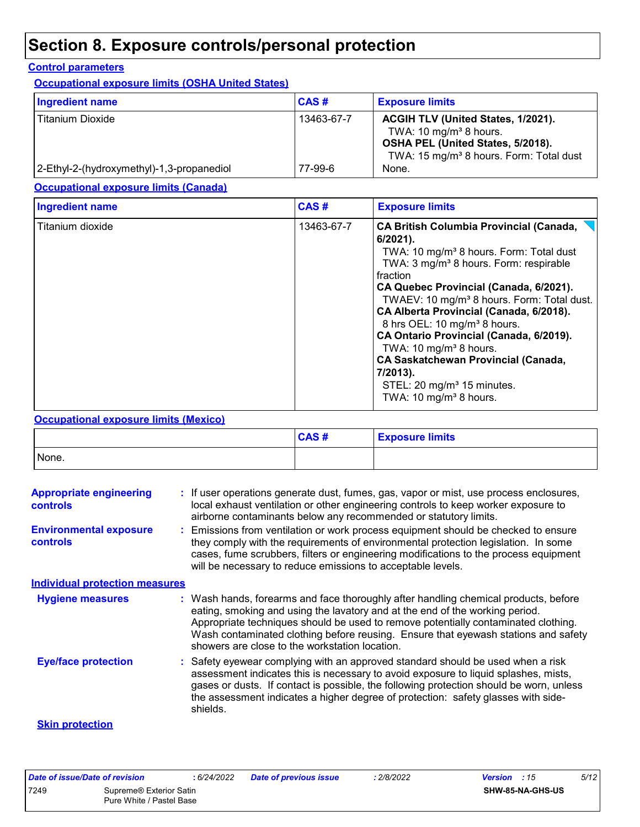# **Section 8. Exposure controls/personal protection**

#### **Control parameters**

**Occupational exposure limits (OSHA United States)**

| Ingredient name                           | CAS#       | <b>Exposure limits</b>                                                                                                                                               |
|-------------------------------------------|------------|----------------------------------------------------------------------------------------------------------------------------------------------------------------------|
| <b>Titanium Dioxide</b>                   | 13463-67-7 | ACGIH TLV (United States, 1/2021).<br>TWA: 10 mg/m <sup>3</sup> 8 hours.<br>OSHA PEL (United States, 5/2018).<br>TWA: 15 mg/m <sup>3</sup> 8 hours. Form: Total dust |
| 2-Ethyl-2-(hydroxymethyl)-1,3-propanediol | 77-99-6    | None.                                                                                                                                                                |

**Occupational exposure limits (Canada)**

| <b>Ingredient name</b> | CAS#       | <b>Exposure limits</b>                                                                                                                                                                                                                                                                                                                                                                                                                                                                                                                                                                                       |
|------------------------|------------|--------------------------------------------------------------------------------------------------------------------------------------------------------------------------------------------------------------------------------------------------------------------------------------------------------------------------------------------------------------------------------------------------------------------------------------------------------------------------------------------------------------------------------------------------------------------------------------------------------------|
| Titanium dioxide       | 13463-67-7 | <b>CA British Columbia Provincial (Canada,</b><br>$6/2021$ ).<br>TWA: 10 mg/m <sup>3</sup> 8 hours. Form: Total dust<br>TWA: 3 mg/m <sup>3</sup> 8 hours. Form: respirable<br>fraction<br>CA Quebec Provincial (Canada, 6/2021).<br>TWAEV: 10 mg/m <sup>3</sup> 8 hours. Form: Total dust.<br>CA Alberta Provincial (Canada, 6/2018).<br>8 hrs OEL: 10 mg/m <sup>3</sup> 8 hours.<br>CA Ontario Provincial (Canada, 6/2019).<br>TWA: 10 mg/m <sup>3</sup> 8 hours.<br><b>CA Saskatchewan Provincial (Canada,</b><br>7/2013).<br>STEL: 20 mg/m <sup>3</sup> 15 minutes.<br>TWA: 10 mg/m <sup>3</sup> 8 hours. |

#### **Occupational exposure limits (Mexico)**

|       | CAS# | <b>Exposure limits</b> |
|-------|------|------------------------|
| None. |      |                        |

| <b>Appropriate engineering</b><br><b>controls</b> | : If user operations generate dust, fumes, gas, vapor or mist, use process enclosures,<br>local exhaust ventilation or other engineering controls to keep worker exposure to<br>airborne contaminants below any recommended or statutory limits.                                                                                                                                                  |
|---------------------------------------------------|---------------------------------------------------------------------------------------------------------------------------------------------------------------------------------------------------------------------------------------------------------------------------------------------------------------------------------------------------------------------------------------------------|
| <b>Environmental exposure</b><br><b>controls</b>  | : Emissions from ventilation or work process equipment should be checked to ensure<br>they comply with the requirements of environmental protection legislation. In some<br>cases, fume scrubbers, filters or engineering modifications to the process equipment<br>will be necessary to reduce emissions to acceptable levels.                                                                   |
| <b>Individual protection measures</b>             |                                                                                                                                                                                                                                                                                                                                                                                                   |
| <b>Hygiene measures</b>                           | : Wash hands, forearms and face thoroughly after handling chemical products, before<br>eating, smoking and using the lavatory and at the end of the working period.<br>Appropriate techniques should be used to remove potentially contaminated clothing.<br>Wash contaminated clothing before reusing. Ensure that eyewash stations and safety<br>showers are close to the workstation location. |
| <b>Eye/face protection</b>                        | : Safety eyewear complying with an approved standard should be used when a risk<br>assessment indicates this is necessary to avoid exposure to liquid splashes, mists,<br>gases or dusts. If contact is possible, the following protection should be worn, unless<br>the assessment indicates a higher degree of protection: safety glasses with side-<br>shields.                                |
| <b>Skin protection</b>                            |                                                                                                                                                                                                                                                                                                                                                                                                   |

| Date of issue/Date of revision |                          | : 6/24/2022 | <b>Date of previous issue</b> | : 2/8/2022 | <b>Version</b> : 15     | 5/12 |
|--------------------------------|--------------------------|-------------|-------------------------------|------------|-------------------------|------|
| 7249                           | Supreme® Exterior Satin  |             |                               |            | <b>SHW-85-NA-GHS-US</b> |      |
|                                | Pure White / Pastel Base |             |                               |            |                         |      |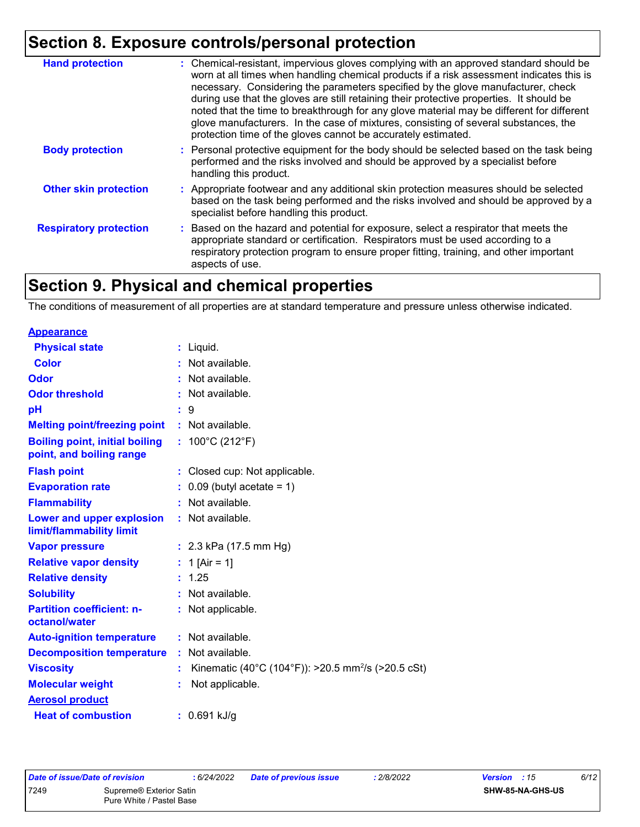### **Section 8. Exposure controls/personal protection**

| <b>Hand protection</b>        | : Chemical-resistant, impervious gloves complying with an approved standard should be<br>worn at all times when handling chemical products if a risk assessment indicates this is<br>necessary. Considering the parameters specified by the glove manufacturer, check<br>during use that the gloves are still retaining their protective properties. It should be<br>noted that the time to breakthrough for any glove material may be different for different<br>glove manufacturers. In the case of mixtures, consisting of several substances, the<br>protection time of the gloves cannot be accurately estimated. |
|-------------------------------|------------------------------------------------------------------------------------------------------------------------------------------------------------------------------------------------------------------------------------------------------------------------------------------------------------------------------------------------------------------------------------------------------------------------------------------------------------------------------------------------------------------------------------------------------------------------------------------------------------------------|
| <b>Body protection</b>        | : Personal protective equipment for the body should be selected based on the task being<br>performed and the risks involved and should be approved by a specialist before<br>handling this product.                                                                                                                                                                                                                                                                                                                                                                                                                    |
| <b>Other skin protection</b>  | : Appropriate footwear and any additional skin protection measures should be selected<br>based on the task being performed and the risks involved and should be approved by a<br>specialist before handling this product.                                                                                                                                                                                                                                                                                                                                                                                              |
| <b>Respiratory protection</b> | : Based on the hazard and potential for exposure, select a respirator that meets the<br>appropriate standard or certification. Respirators must be used according to a<br>respiratory protection program to ensure proper fitting, training, and other important<br>aspects of use.                                                                                                                                                                                                                                                                                                                                    |

# **Section 9. Physical and chemical properties**

The conditions of measurement of all properties are at standard temperature and pressure unless otherwise indicated.

#### **Appearance**

| <b>Physical state</b>                                             | $:$ Liquid.                                                    |
|-------------------------------------------------------------------|----------------------------------------------------------------|
| <b>Color</b>                                                      | : Not available.                                               |
| Odor                                                              | Not available.                                                 |
| <b>Odor threshold</b>                                             | : Not available.                                               |
| рH                                                                | 9<br>÷.                                                        |
| <b>Melting point/freezing point</b>                               | $:$ Not available.                                             |
| <b>Boiling point, initial boiling</b><br>point, and boiling range | : $100^{\circ}$ C (212 $^{\circ}$ F)                           |
| <b>Flash point</b>                                                | : Closed cup: Not applicable.                                  |
| <b>Evaporation rate</b>                                           | $\therefore$ 0.09 (butyl acetate = 1)                          |
| <b>Flammability</b>                                               | : Not available.                                               |
| Lower and upper explosion<br>limit/flammability limit             | : Not available.                                               |
| <b>Vapor pressure</b>                                             | : $2.3$ kPa (17.5 mm Hg)                                       |
| <b>Relative vapor density</b>                                     | : 1 [Air = 1]                                                  |
| <b>Relative density</b>                                           | : 1.25                                                         |
| <b>Solubility</b>                                                 | : Not available.                                               |
| <b>Partition coefficient: n-</b><br>octanol/water                 | Not applicable.                                                |
| <b>Auto-ignition temperature</b>                                  | : Not available.                                               |
| <b>Decomposition temperature</b>                                  | : Not available.                                               |
| <b>Viscosity</b>                                                  | Kinematic (40°C (104°F)): >20.5 mm <sup>2</sup> /s (>20.5 cSt) |
| <b>Molecular weight</b>                                           | Not applicable.                                                |
| <b>Aerosol product</b>                                            |                                                                |
| <b>Heat of combustion</b>                                         | $: 0.691$ kJ/g                                                 |
|                                                                   |                                                                |

| Date of issue/Date of revision |                                     | : 6/24/202 |
|--------------------------------|-------------------------------------|------------|
| 7249                           | Supreme <sup>®</sup> Exterior Satin |            |
|                                | Pure White / Pastel Base            |            |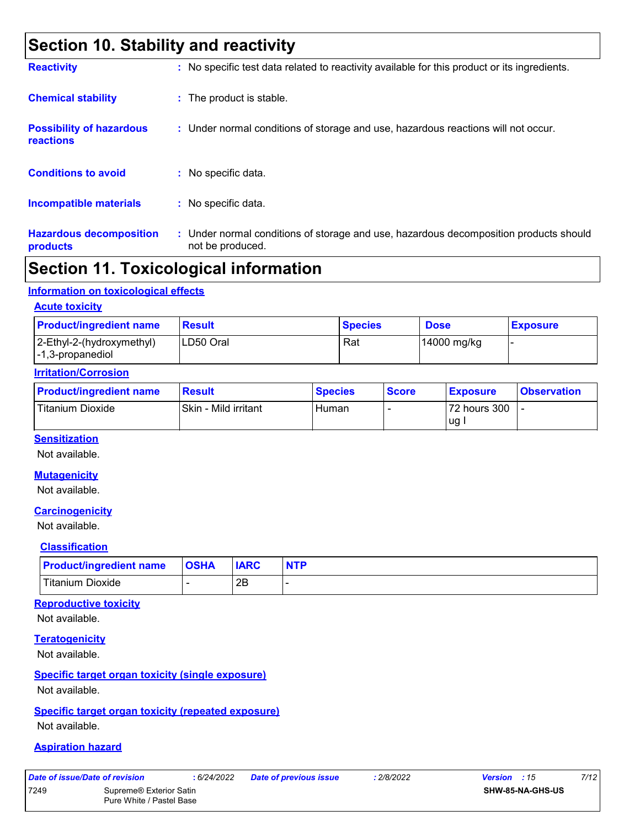### **Section 10. Stability and reactivity**

| <b>Reactivity</b>                            | : No specific test data related to reactivity available for this product or its ingredients.              |
|----------------------------------------------|-----------------------------------------------------------------------------------------------------------|
| <b>Chemical stability</b>                    | : The product is stable.                                                                                  |
| <b>Possibility of hazardous</b><br>reactions | : Under normal conditions of storage and use, hazardous reactions will not occur.                         |
| <b>Conditions to avoid</b>                   | : No specific data.                                                                                       |
| <b>Incompatible materials</b>                | : No specific data.                                                                                       |
| <b>Hazardous decomposition</b><br>products   | : Under normal conditions of storage and use, hazardous decomposition products should<br>not be produced. |

### **Section 11. Toxicological information**

#### **Information on toxicological effects**

#### **Acute toxicity**

| <b>Product/ingredient name</b>                                        | Result    | <b>Species</b> | <b>Dose</b> | <b>Exposure</b> |
|-----------------------------------------------------------------------|-----------|----------------|-------------|-----------------|
| 2-Ethyl-2-(hydroxymethyl)<br>$\left  -1, 3\text{-propanediol}\right $ | LD50 Oral | Rat            | 14000 mg/kg |                 |

#### **Irritation/Corrosion**

| <b>Product/ingredient name</b> | <b>Result</b>        |       | <b>Score</b> | <b>Exposure</b> | <b>Observation</b> |
|--------------------------------|----------------------|-------|--------------|-----------------|--------------------|
| Titanium Dioxide               | Skin - Mild irritant | Human |              | 72 hours 300    |                    |
|                                |                      |       |              | ug              |                    |

#### **Sensitization**

Not available.

#### **Mutagenicity**

Not available.

#### **Carcinogenicity**

Not available.

#### **Classification**

| <b>Product/ingredient name</b> | <b>OSHA</b> | <b>IARC</b> |  |
|--------------------------------|-------------|-------------|--|
| <b>Titanium Dioxide</b>        |             | 2B          |  |

#### **Reproductive toxicity**

Not available.

#### **Teratogenicity**

Not available.

#### **Specific target organ toxicity (single exposure)**

Not available.

#### **Specific target organ toxicity (repeated exposure)**

Not available.

#### **Aspiration hazard**

|  |  | Date of issue/Date of revision |  |
|--|--|--------------------------------|--|
|  |  |                                |  |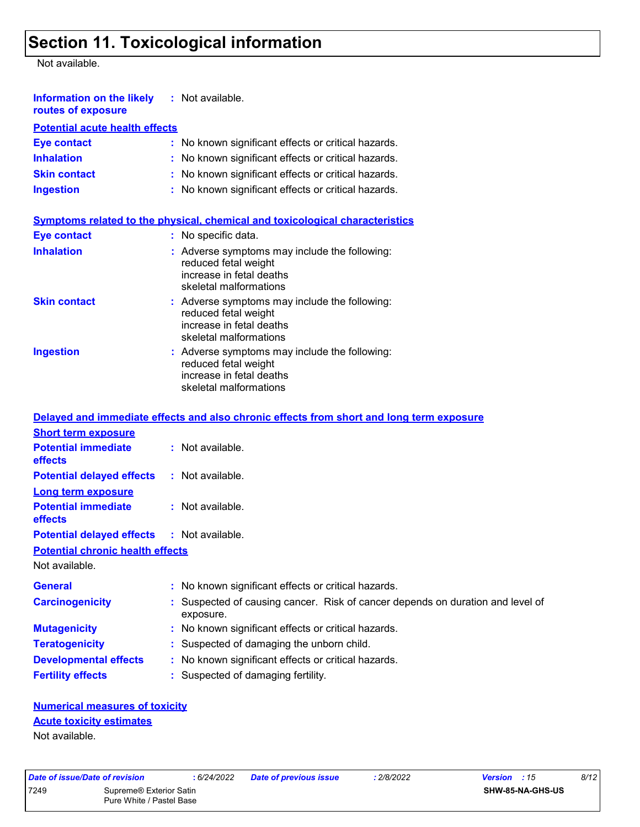# **Section 11. Toxicological information**

Not available.

| <b>Information on the likely</b> : Not available.<br>routes of exposure |                                                                                                                               |
|-------------------------------------------------------------------------|-------------------------------------------------------------------------------------------------------------------------------|
| <b>Potential acute health effects</b>                                   |                                                                                                                               |
| Eye contact                                                             | : No known significant effects or critical hazards.                                                                           |
| <b>Inhalation</b>                                                       | : No known significant effects or critical hazards.                                                                           |
| <b>Skin contact</b>                                                     | : No known significant effects or critical hazards.                                                                           |
| <b>Ingestion</b>                                                        | : No known significant effects or critical hazards.                                                                           |
| Eye contact                                                             | <u>Symptoms related to the physical, chemical and toxicological characteristics</u><br>: No specific data.                    |
| <b>Inhalation</b>                                                       | : Adverse symptoms may include the following:<br>reduced fetal weight<br>increase in fetal deaths<br>skeletal malformations   |
| <b>Skin contact</b>                                                     | $:$ Adverse symptoms may include the following:<br>reduced fetal weight<br>increase in fetal deaths<br>skeletal malformations |

|           | <u>38088888888888888</u>                                                                                                    |
|-----------|-----------------------------------------------------------------------------------------------------------------------------|
| Ingestion | : Adverse symptoms may include the following:<br>reduced fetal weight<br>increase in fetal deaths<br>skeletal malformations |
|           |                                                                                                                             |

|                                                   | Delayed and immediate effects and also chronic effects from short and long term exposure    |
|---------------------------------------------------|---------------------------------------------------------------------------------------------|
| <b>Short term exposure</b>                        |                                                                                             |
| <b>Potential immediate</b><br>effects             | : Not available.                                                                            |
| <b>Potential delayed effects : Not available.</b> |                                                                                             |
| <b>Long term exposure</b>                         |                                                                                             |
| <b>Potential immediate</b><br>effects             | : Not available.                                                                            |
| <b>Potential delayed effects : Not available.</b> |                                                                                             |
| <b>Potential chronic health effects</b>           |                                                                                             |
| Not available.                                    |                                                                                             |
| <b>General</b>                                    | : No known significant effects or critical hazards.                                         |
| <b>Carcinogenicity</b>                            | : Suspected of causing cancer. Risk of cancer depends on duration and level of<br>exposure. |
| <b>Mutagenicity</b>                               | : No known significant effects or critical hazards.                                         |
| <b>Teratogenicity</b>                             | : Suspected of damaging the unborn child.                                                   |
| <b>Developmental effects</b>                      | : No known significant effects or critical hazards.                                         |
| <b>Fertility effects</b>                          | : Suspected of damaging fertility.                                                          |

#### **Numerical measures of toxicity Acute toxicity estimates**

Not available.

| 7249<br>Supreme <sup>®</sup> Exterior Satin<br>Pure White / Pastel Base |
|-------------------------------------------------------------------------|
|                                                                         |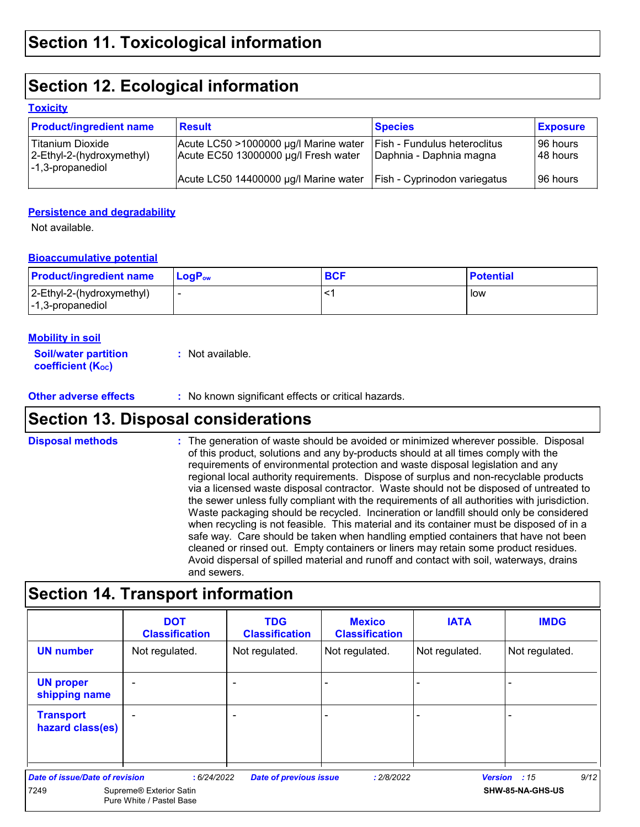### **Section 12. Ecological information**

#### **Toxicity**

| <b>Product/ingredient name</b>                                                            | <b>Result</b>                                                                 | <b>Species</b>                                                 | <b>Exposure</b>        |
|-------------------------------------------------------------------------------------------|-------------------------------------------------------------------------------|----------------------------------------------------------------|------------------------|
| Titanium Dioxide<br>2-Ethyl-2-(hydroxymethyl)<br>$\left  -1, 3\text{-propanediol}\right $ | Acute LC50 >1000000 µg/l Marine water<br>Acute EC50 13000000 µg/l Fresh water | <b>Fish - Fundulus heteroclitus</b><br>Daphnia - Daphnia magna | 196 hours<br>148 hours |
|                                                                                           | Acute LC50 14400000 µg/l Marine water                                         | <b>Fish - Cyprinodon variegatus</b>                            | 196 hours              |

#### **Persistence and degradability**

Not available.

#### **Bioaccumulative potential**

| <b>Product/ingredient name</b>                | LogP <sub>ow</sub> | <b>BCF</b> | <b>Potential</b> |
|-----------------------------------------------|--------------------|------------|------------------|
| 2-Ethyl-2-(hydroxymethyl)<br>-1,3-propanediol |                    |            | low              |

#### **Mobility in soil**

| <b>Soil/water partition</b> | : Not available. |
|-----------------------------|------------------|
| <b>coefficient (Koc)</b>    |                  |

**Other adverse effects** : No known significant effects or critical hazards.

### **Section 13. Disposal considerations**

The generation of waste should be avoided or minimized wherever possible. Disposal of this product, solutions and any by-products should at all times comply with the requirements of environmental protection and waste disposal legislation and any regional local authority requirements. Dispose of surplus and non-recyclable products via a licensed waste disposal contractor. Waste should not be disposed of untreated to the sewer unless fully compliant with the requirements of all authorities with jurisdiction. Waste packaging should be recycled. Incineration or landfill should only be considered when recycling is not feasible. This material and its container must be disposed of in a safe way. Care should be taken when handling emptied containers that have not been cleaned or rinsed out. Empty containers or liners may retain some product residues. Avoid dispersal of spilled material and runoff and contact with soil, waterways, drains and sewers. **Disposal methods :**

### **Section 14. Transport information**

|                                       | <b>DOT</b><br><b>Classification</b>                 | <b>TDG</b><br><b>Classification</b> | <b>Mexico</b><br><b>Classification</b> | <b>IATA</b>    | <b>IMDG</b>          |
|---------------------------------------|-----------------------------------------------------|-------------------------------------|----------------------------------------|----------------|----------------------|
| <b>UN number</b>                      | Not regulated.                                      | Not regulated.                      | Not regulated.                         | Not regulated. | Not regulated.       |
| <b>UN proper</b><br>shipping name     |                                                     |                                     |                                        |                |                      |
| <b>Transport</b><br>hazard class(es)  |                                                     |                                     |                                        |                |                      |
| <b>Date of issue/Date of revision</b> | : 6/24/2022                                         | <b>Date of previous issue</b>       | : 2/8/2022                             |                | 9/12<br>Version : 15 |
| 7249                                  | Supreme® Exterior Satin<br>Pure White / Pastel Base |                                     |                                        |                | SHW-85-NA-GHS-US     |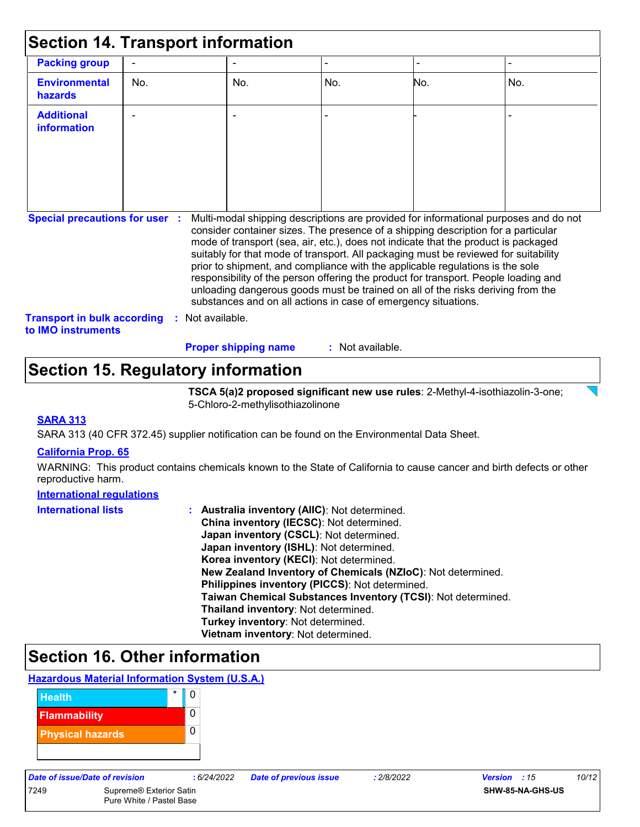| <b>Section 14. Transport information</b>                                                                                                                                                                                                                                                                                                                                                                                                                                                                                                                                                                                                                                                                                                                                                   |     |  |                             |                  |                |                |
|--------------------------------------------------------------------------------------------------------------------------------------------------------------------------------------------------------------------------------------------------------------------------------------------------------------------------------------------------------------------------------------------------------------------------------------------------------------------------------------------------------------------------------------------------------------------------------------------------------------------------------------------------------------------------------------------------------------------------------------------------------------------------------------------|-----|--|-----------------------------|------------------|----------------|----------------|
| <b>Packing group</b>                                                                                                                                                                                                                                                                                                                                                                                                                                                                                                                                                                                                                                                                                                                                                                       |     |  |                             |                  | $\blacksquare$ | $\blacksquare$ |
| <b>Environmental</b><br>hazards                                                                                                                                                                                                                                                                                                                                                                                                                                                                                                                                                                                                                                                                                                                                                            | No. |  | No.                         | No.              | No.            | No.            |
| <b>Additional</b><br>information                                                                                                                                                                                                                                                                                                                                                                                                                                                                                                                                                                                                                                                                                                                                                           |     |  |                             |                  |                |                |
| Multi-modal shipping descriptions are provided for informational purposes and do not<br><b>Special precautions for user :</b><br>consider container sizes. The presence of a shipping description for a particular<br>mode of transport (sea, air, etc.), does not indicate that the product is packaged<br>suitably for that mode of transport. All packaging must be reviewed for suitability<br>prior to shipment, and compliance with the applicable regulations is the sole<br>responsibility of the person offering the product for transport. People loading and<br>unloading dangerous goods must be trained on all of the risks deriving from the<br>substances and on all actions in case of emergency situations.<br><b>Transport in bulk according</b><br>Not available.<br>÷. |     |  |                             |                  |                |                |
| to IMO instruments                                                                                                                                                                                                                                                                                                                                                                                                                                                                                                                                                                                                                                                                                                                                                                         |     |  | <b>Proper shipping name</b> | : Not available. |                |                |

### **Section 15. Regulatory information**

**TSCA 5(a)2 proposed significant new use rules**: 2-Methyl-4-isothiazolin-3-one; 5-Chloro-2-methylisothiazolinone

#### **SARA 313**

SARA 313 (40 CFR 372.45) supplier notification can be found on the Environmental Data Sheet.

#### **California Prop. 65**

WARNING: This product contains chemicals known to the State of California to cause cancer and birth defects or other reproductive harm.

#### **International regulations**

| <b>International lists</b> | : Australia inventory (AIIC): Not determined.                |  |  |  |
|----------------------------|--------------------------------------------------------------|--|--|--|
|                            | China inventory (IECSC): Not determined.                     |  |  |  |
|                            | Japan inventory (CSCL): Not determined.                      |  |  |  |
|                            | Japan inventory (ISHL): Not determined.                      |  |  |  |
|                            | Korea inventory (KECI): Not determined.                      |  |  |  |
|                            | New Zealand Inventory of Chemicals (NZIoC): Not determined.  |  |  |  |
|                            | Philippines inventory (PICCS): Not determined.               |  |  |  |
|                            | Taiwan Chemical Substances Inventory (TCSI): Not determined. |  |  |  |
|                            | Thailand inventory: Not determined.                          |  |  |  |
|                            | Turkey inventory: Not determined.                            |  |  |  |
|                            | Vietnam inventory: Not determined.                           |  |  |  |

### **Section 16. Other information**

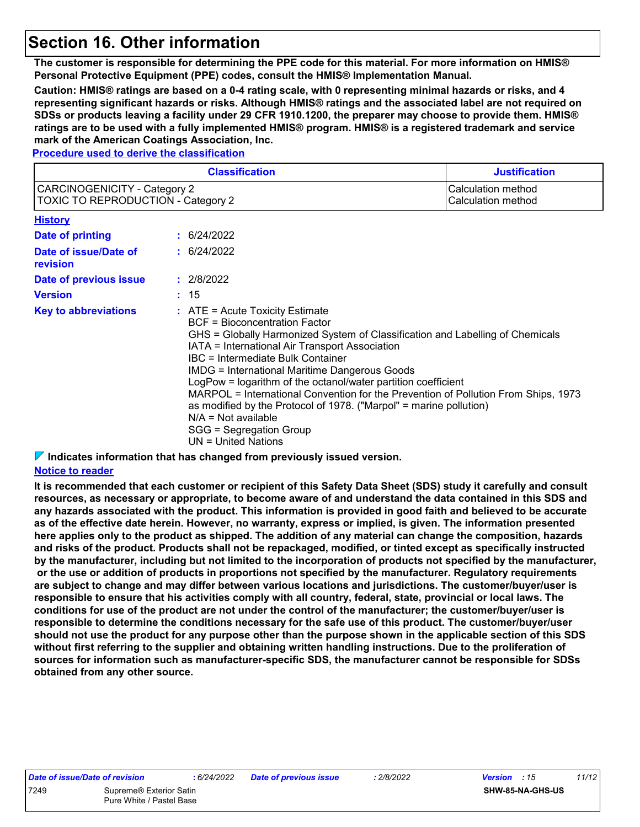### **Section 16. Other information**

**The customer is responsible for determining the PPE code for this material. For more information on HMIS® Personal Protective Equipment (PPE) codes, consult the HMIS® Implementation Manual.**

**Caution: HMIS® ratings are based on a 0-4 rating scale, with 0 representing minimal hazards or risks, and 4 representing significant hazards or risks. Although HMIS® ratings and the associated label are not required on SDSs or products leaving a facility under 29 CFR 1910.1200, the preparer may choose to provide them. HMIS® ratings are to be used with a fully implemented HMIS® program. HMIS® is a registered trademark and service mark of the American Coatings Association, Inc.**

#### **Procedure used to derive the classification**

| <b>Classification</b>                                                     |  | <b>Justification</b>                                                                                                                                                                                                                                                                                                                                                                                                                                                                                                                                                                                                |  |
|---------------------------------------------------------------------------|--|---------------------------------------------------------------------------------------------------------------------------------------------------------------------------------------------------------------------------------------------------------------------------------------------------------------------------------------------------------------------------------------------------------------------------------------------------------------------------------------------------------------------------------------------------------------------------------------------------------------------|--|
| CARCINOGENICITY - Category 2<br><b>TOXIC TO REPRODUCTION - Category 2</b> |  | <b>Calculation method</b><br>Calculation method                                                                                                                                                                                                                                                                                                                                                                                                                                                                                                                                                                     |  |
| <b>History</b>                                                            |  |                                                                                                                                                                                                                                                                                                                                                                                                                                                                                                                                                                                                                     |  |
| Date of printing                                                          |  | : 6/24/2022                                                                                                                                                                                                                                                                                                                                                                                                                                                                                                                                                                                                         |  |
| Date of issue/Date of<br>revision                                         |  | : 6/24/2022                                                                                                                                                                                                                                                                                                                                                                                                                                                                                                                                                                                                         |  |
| Date of previous issue                                                    |  | : 2/8/2022                                                                                                                                                                                                                                                                                                                                                                                                                                                                                                                                                                                                          |  |
| <b>Version</b>                                                            |  | : 15                                                                                                                                                                                                                                                                                                                                                                                                                                                                                                                                                                                                                |  |
| <b>Key to abbreviations</b>                                               |  | $:$ ATE = Acute Toxicity Estimate<br>BCF = Bioconcentration Factor<br>GHS = Globally Harmonized System of Classification and Labelling of Chemicals<br>IATA = International Air Transport Association<br><b>IBC</b> = Intermediate Bulk Container<br><b>IMDG = International Maritime Dangerous Goods</b><br>LogPow = logarithm of the octanol/water partition coefficient<br>MARPOL = International Convention for the Prevention of Pollution From Ships, 1973<br>as modified by the Protocol of 1978. ("Marpol" = marine pollution)<br>$N/A = Not available$<br>SGG = Segregation Group<br>$UN = United Nations$ |  |

**Indicates information that has changed from previously issued version.**

#### **Notice to reader**

**It is recommended that each customer or recipient of this Safety Data Sheet (SDS) study it carefully and consult resources, as necessary or appropriate, to become aware of and understand the data contained in this SDS and any hazards associated with the product. This information is provided in good faith and believed to be accurate as of the effective date herein. However, no warranty, express or implied, is given. The information presented here applies only to the product as shipped. The addition of any material can change the composition, hazards and risks of the product. Products shall not be repackaged, modified, or tinted except as specifically instructed by the manufacturer, including but not limited to the incorporation of products not specified by the manufacturer, or the use or addition of products in proportions not specified by the manufacturer. Regulatory requirements are subject to change and may differ between various locations and jurisdictions. The customer/buyer/user is responsible to ensure that his activities comply with all country, federal, state, provincial or local laws. The conditions for use of the product are not under the control of the manufacturer; the customer/buyer/user is responsible to determine the conditions necessary for the safe use of this product. The customer/buyer/user should not use the product for any purpose other than the purpose shown in the applicable section of this SDS without first referring to the supplier and obtaining written handling instructions. Due to the proliferation of sources for information such as manufacturer-specific SDS, the manufacturer cannot be responsible for SDSs obtained from any other source.**